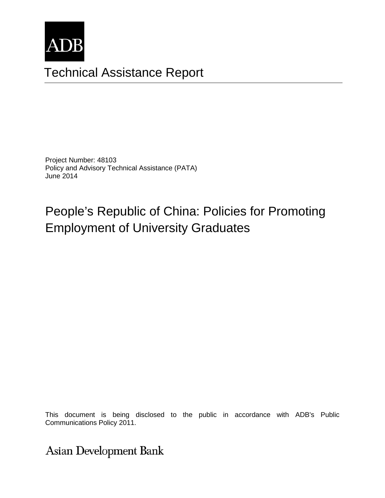

# Technical Assistance Report

Project Number: 48103 Policy and Advisory Technical Assistance (PATA) June 2014

# People's Republic of China: Policies for Promoting Employment of University Graduates

This document is being disclosed to the public in accordance with ADB's Public  $\cap$ Communications Policy 2011.

**Asian Development Bank**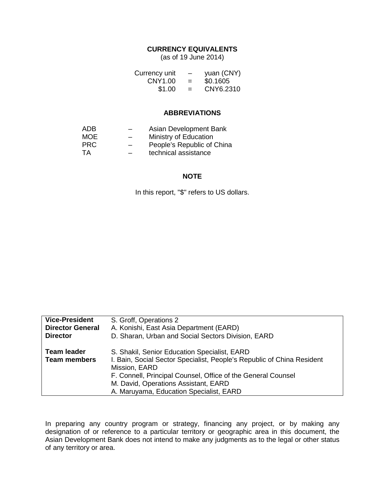#### **CURRENCY EQUIVALENTS**

(as of 19 June 2014)

| Currency unit | $\qquad \qquad$ | yuan (CNY) |
|---------------|-----------------|------------|
| CNY1.00       | $=$             | \$0.1605   |
| \$1.00        | $=$             | CNY6.2310  |

#### **ABBREVIATIONS**

| ADB.       |                          | Asian Development Bank     |
|------------|--------------------------|----------------------------|
| <b>MOE</b> | $\overline{\phantom{0}}$ | Ministry of Education      |
| <b>PRC</b> |                          | People's Republic of China |
| TA         |                          | technical assistance       |

#### **NOTE**

In this report, "\$" refers to US dollars.

| <b>Vice-President</b>                     | S. Groff, Operations 2                                                                                                                                                                                                                                                                     |
|-------------------------------------------|--------------------------------------------------------------------------------------------------------------------------------------------------------------------------------------------------------------------------------------------------------------------------------------------|
| <b>Director General</b>                   | A. Konishi, East Asia Department (EARD)                                                                                                                                                                                                                                                    |
| <b>Director</b>                           | D. Sharan, Urban and Social Sectors Division, EARD                                                                                                                                                                                                                                         |
| <b>Team leader</b><br><b>Team members</b> | S. Shakil, Senior Education Specialist, EARD<br>I. Bain, Social Sector Specialist, People's Republic of China Resident<br>Mission, EARD<br>F. Connell, Principal Counsel, Office of the General Counsel<br>M. David, Operations Assistant, EARD<br>A. Maruyama, Education Specialist, EARD |

In preparing any country program or strategy, financing any project, or by making any designation of or reference to a particular territory or geographic area in this document, the Asian Development Bank does not intend to make any judgments as to the legal or other status of any territory or area.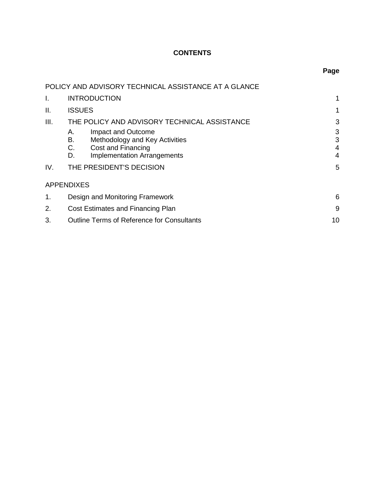# **CONTENTS**

| ×<br>. .<br>×<br>۰.<br>M<br>۰. |
|--------------------------------|
|--------------------------------|

|      | POLICY AND ADVISORY TECHNICAL ASSISTANCE AT A GLANCE                                                                                     |                  |  |
|------|------------------------------------------------------------------------------------------------------------------------------------------|------------------|--|
| I.   | <b>INTRODUCTION</b>                                                                                                                      |                  |  |
| Ш.   | <b>ISSUES</b>                                                                                                                            |                  |  |
| III. | THE POLICY AND ADVISORY TECHNICAL ASSISTANCE                                                                                             | 3                |  |
|      | Impact and Outcome<br>А.<br>Methodology and Key Activities<br>В.<br>C.<br>Cost and Financing<br><b>Implementation Arrangements</b><br>D. | 3<br>3<br>4<br>4 |  |
| IV.  | THE PRESIDENT'S DECISION                                                                                                                 | 5                |  |
|      | <b>APPENDIXES</b>                                                                                                                        |                  |  |
| 1.   | Design and Monitoring Framework                                                                                                          | 6                |  |
| 2.   | Cost Estimates and Financing Plan                                                                                                        |                  |  |
| 3.   | 10<br>Outline Terms of Reference for Consultants                                                                                         |                  |  |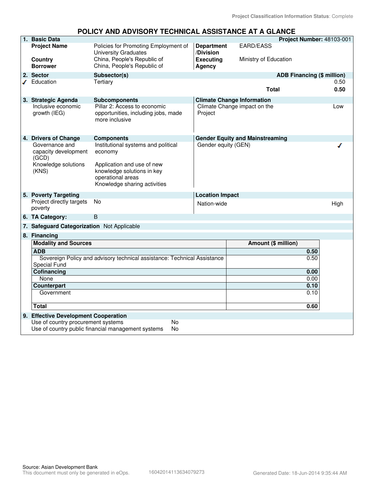|                                                 | ULIUT AND ADVIJUNT TLUINNUAL AJJIJTANUL AT A GLAN                                     |                                |                                        |                                   |
|-------------------------------------------------|---------------------------------------------------------------------------------------|--------------------------------|----------------------------------------|-----------------------------------|
| 1. Basic Data                                   |                                                                                       |                                |                                        | Project Number: 48103-001         |
| <b>Project Name</b>                             | Policies for Promoting Employment of<br><b>University Graduates</b>                   | <b>Department</b><br>/Division | <b>EARD/EASS</b>                       |                                   |
| Country<br><b>Borrower</b>                      | China, People's Republic of<br>China, People's Republic of                            | <b>Executing</b><br>Agency     | Ministry of Education                  |                                   |
| 2. Sector                                       | Subsector(s)                                                                          |                                |                                        | <b>ADB Financing (\$ million)</b> |
| Education                                       | Tertiary                                                                              |                                |                                        | 0.50                              |
|                                                 |                                                                                       |                                | <b>Total</b>                           | 0.50                              |
| 3. Strategic Agenda                             | <b>Subcomponents</b>                                                                  |                                | <b>Climate Change Information</b>      |                                   |
| Inclusive economic<br>growth (IEG)              | Pillar 2: Access to economic<br>opportunities, including jobs, made<br>more inclusive | Project                        | Climate Change impact on the           | Low                               |
| 4. Drivers of Change                            | <b>Components</b>                                                                     |                                | <b>Gender Equity and Mainstreaming</b> |                                   |
| Governance and<br>capacity development<br>(GCD) | Institutional systems and political<br>economy                                        | Gender equity (GEN)            |                                        |                                   |
| Knowledge solutions<br>(KNS)                    | Application and use of new<br>knowledge solutions in key                              |                                |                                        |                                   |
|                                                 | operational areas                                                                     |                                |                                        |                                   |
|                                                 | Knowledge sharing activities                                                          |                                |                                        |                                   |
|                                                 |                                                                                       |                                |                                        |                                   |
| 5. Poverty Targeting                            | <b>No</b>                                                                             | <b>Location Impact</b>         |                                        |                                   |
| Project directly targets<br>poverty             |                                                                                       | Nation-wide                    |                                        | High                              |
| 6. TA Category:                                 | B                                                                                     |                                |                                        |                                   |
| 7. Safeguard Categorization Not Applicable      |                                                                                       |                                |                                        |                                   |
| 8. Financing                                    |                                                                                       |                                |                                        |                                   |
| <b>Modality and Sources</b>                     |                                                                                       |                                | Amount (\$ million)                    |                                   |
| <b>ADB</b>                                      |                                                                                       |                                |                                        | 0.50                              |
|                                                 | Sovereign Policy and advisory technical assistance: Technical Assistance              |                                |                                        | 0.50                              |
| Special Fund                                    |                                                                                       |                                |                                        |                                   |
| Cofinancing                                     |                                                                                       |                                |                                        | 0.00                              |
| None                                            |                                                                                       |                                |                                        | 0.00                              |
| <b>Counterpart</b><br>Government                |                                                                                       |                                |                                        | 0.10<br>0.10                      |
|                                                 |                                                                                       |                                |                                        |                                   |
| <b>Total</b>                                    |                                                                                       |                                |                                        | 0.60                              |
| 9. Effective Development Cooperation            |                                                                                       |                                |                                        |                                   |
| Use of country procurement systems              | No                                                                                    |                                |                                        |                                   |
|                                                 | Use of country public financial management systems<br>No                              |                                |                                        |                                   |

## **POLICY AND ADVISORY TECHNICAL ASSISTANCE AT A GLANCE**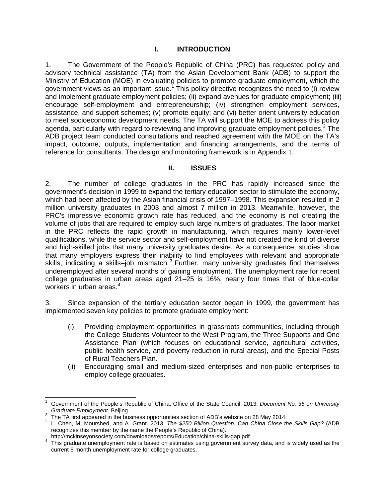#### **I. INTRODUCTION**

1. The Government of the People's Republic of China (PRC) has requested policy and advisory technical assistance (TA) from the Asian Development Bank (ADB) to support the Ministry of Education (MOE) in evaluating policies to promote graduate employment, which the government views as an important issue.<sup>[1](#page-4-0)</sup> This policy directive recognizes the need to (i) review and implement graduate employment policies; (ii) expand avenues for graduate employment; (iii) encourage self-employment and entrepreneurship; (iv) strengthen employment services, assistance, and support schemes; (v) promote equity; and (vi) better orient university education to meet socioeconomic development needs. The TA will support the MOE to address this policy agenda, particularly with regard to reviewing and improving graduate employment policies.<sup>[2](#page-4-1)</sup> The ADB project team conducted consultations and reached agreement with the MOE on the TA's impact, outcome, outputs, implementation and financing arrangements, and the terms of reference for consultants. The design and monitoring framework is in Appendix 1.

### **II. ISSUES**

2. The number of college graduates in the PRC has rapidly increased since the government's decision in 1999 to expand the tertiary education sector to stimulate the economy, which had been affected by the Asian financial crisis of 1997–1998. This expansion resulted in 2 million university graduates in 2003 and almost 7 million in 2013. Meanwhile, however, the PRC's impressive economic growth rate has reduced, and the economy is not creating the volume of jobs that are required to employ such large numbers of graduates. The labor market in the PRC reflects the rapid growth in manufacturing, which requires mainly lower-level qualifications, while the service sector and self-employment have not created the kind of diverse and high-skilled jobs that many university graduates desire. As a consequence, studies show that many employers express their inability to find employees with relevant and appropriate skills, indicating a skills-job mismatch.<sup>[3](#page-4-2)</sup> Further, many university graduates find themselves underemployed after several months of gaining employment. The unemployment rate for recent college graduates in urban areas aged 21–25 is 16%, nearly four times that of blue-collar workers in urban areas. [4](#page-4-3)

3. Since expansion of the tertiary education sector began in 1999, the government has implemented seven key policies to promote graduate employment:

- (i) Providing employment opportunities in grassroots communities, including through the College Students Volunteer to the West Program, the Three Supports and One Assistance Plan (which focuses on educational service, agricultural activities, public health service, and poverty reduction in rural areas), and the Special Posts of Rural Teachers Plan.
- (ii) Encouraging small and medium-sized enterprises and non-public enterprises to employ college graduates.

<span id="page-4-0"></span><sup>1</sup> Government of the People's Republic of China, Office of the State Council. 2013. *Document No. 35 on University*   $\overline{a}$ 

<span id="page-4-2"></span>

<span id="page-4-1"></span>The TA first appeared in the business opportunities section of ADB's website on 28 May 2014.<br><sup>2</sup> The TA first appeared in the business opportunities section of ADB's website on 28 May 2014.<br><sup>3</sup> L. Chen, M. Mourshed, and A. recognizes this member by the name the People's Republic of China).<br>http://mckinseyonsociety.com/downloads/reports/Education/china-skills-gap.pdf

<span id="page-4-3"></span><sup>4</sup> This graduate unemployment rate is based on estimates using government survey data, and is widely used as the current 6-month unemployment rate for college graduates.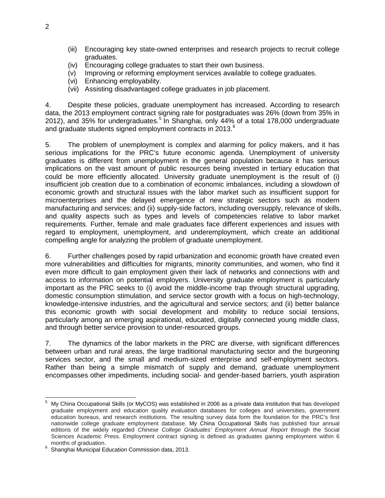- (iii) Encouraging key state-owned enterprises and research projects to recruit college graduates.
- (iv) Encouraging college graduates to start their own business.
- (v) Improving or reforming employment services available to college graduates.
- (vi) Enhancing employability.
- (vii) Assisting disadvantaged college graduates in job placement.

4. Despite these policies, graduate unemployment has increased. According to research data, the 2013 employment contract signing rate for postgraduates was 26% (down from 35% in 2012), and 35% for undergraduates. [5](#page-5-0) In Shanghai, only 44% of a total 178,000 undergraduate and graduate students signed employment contracts in 2013. $^{\rm 6}$  $^{\rm 6}$  $^{\rm 6}$ 

5. The problem of unemployment is complex and alarming for policy makers, and it has serious implications for the PRC's future economic agenda. Unemployment of university graduates is different from unemployment in the general population because it has serious implications on the vast amount of public resources being invested in tertiary education that could be more efficiently allocated. University graduate unemployment is the result of (i) insufficient job creation due to a combination of economic imbalances, including a slowdown of economic growth and structural issues with the labor market such as insufficient support for microenterprises and the delayed emergence of new strategic sectors such as modern manufacturing and services; and (ii) supply-side factors, including oversupply, relevance of skills, and quality aspects such as types and levels of competencies relative to labor market requirements. Further, female and male graduates face different experiences and issues with regard to employment, unemployment, and underemployment, which create an additional compelling angle for analyzing the problem of graduate unemployment.

6. Further challenges posed by rapid urbanization and economic growth have created even more vulnerabilities and difficulties for migrants, minority communities, and women, who find it even more difficult to gain employment given their lack of networks and connections with and access to information on potential employers. University graduate employment is particularly important as the PRC seeks to (i) avoid the middle-income trap through structural upgrading, domestic consumption stimulation, and service sector growth with a focus on high-technology, knowledge-intensive industries, and the agricultural and service sectors; and (ii) better balance this economic growth with social development and mobility to reduce social tensions, particularly among an emerging aspirational, educated, digitally connected young middle class, and through better service provision to under-resourced groups.

7. The dynamics of the labor markets in the PRC are diverse, with significant differences between urban and rural areas, the large traditional manufacturing sector and the burgeoning services sector, and the small and medium-sized enterprise and self-employment sectors. Rather than being a simple mismatch of supply and demand, graduate unemployment encompasses other impediments, including social- and gender-based barriers, youth aspiration

<span id="page-5-0"></span><sup>5</sup> My China Occupational Skills (or MyCOS) was established in 2006 as a private data institution that has developed graduate employment and education quality evaluation databases for colleges and universities, government education bureaus, and research institutions. The resulting survey data form the foundation for the PRC's first nationwide college graduate employment database. My China Occupational Skills has published four annual editions of the widely regarded *Chinese College Graduates' Employment Annual Report* through the Social Sciences Academic Press. Employment contract signing is defined as graduates gaining employment within 6  $\,$  5  $\,$ 

<span id="page-5-1"></span>months of graduation.<br>Shanghai Municipal Education Commission data, 2013.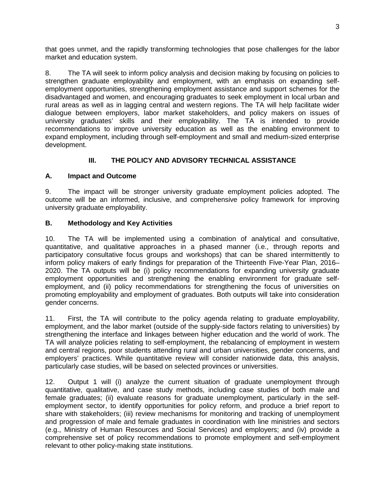that goes unmet, and the rapidly transforming technologies that pose challenges for the labor market and education system.

8. The TA will seek to inform policy analysis and decision making by focusing on policies to strengthen graduate employability and employment, with an emphasis on expanding selfemployment opportunities, strengthening employment assistance and support schemes for the disadvantaged and women, and encouraging graduates to seek employment in local urban and rural areas as well as in lagging central and western regions. The TA will help facilitate wider dialogue between employers, labor market stakeholders, and policy makers on issues of university graduates' skills and their employability. The TA is intended to provide recommendations to improve university education as well as the enabling environment to expand employment, including through self-employment and small and medium-sized enterprise development.

# **III. THE POLICY AND ADVISORY TECHNICAL ASSISTANCE**

### **A. Impact and Outcome**

9. The impact will be stronger university graduate employment policies adopted. The outcome will be an informed, inclusive, and comprehensive policy framework for improving university graduate employability.

### **B. Methodology and Key Activities**

10. The TA will be implemented using a combination of analytical and consultative, quantitative, and qualitative approaches in a phased manner (i.e., through reports and participatory consultative focus groups and workshops) that can be shared intermittently to inform policy makers of early findings for preparation of the Thirteenth Five-Year Plan, 2016– 2020. The TA outputs will be (i) policy recommendations for expanding university graduate employment opportunities and strengthening the enabling environment for graduate selfemployment, and (ii) policy recommendations for strengthening the focus of universities on promoting employability and employment of graduates. Both outputs will take into consideration gender concerns.

11. First, the TA will contribute to the policy agenda relating to graduate employability, employment, and the labor market (outside of the supply-side factors relating to universities) by strengthening the interface and linkages between higher education and the world of work. The TA will analyze policies relating to self-employment, the rebalancing of employment in western and central regions, poor students attending rural and urban universities, gender concerns, and employers' practices. While quantitative review will consider nationwide data, this analysis, particularly case studies, will be based on selected provinces or universities.

12. Output 1 will (i) analyze the current situation of graduate unemployment through quantitative, qualitative, and case study methods, including case studies of both male and female graduates; (ii) evaluate reasons for graduate unemployment, particularly in the selfemployment sector, to identify opportunities for policy reform, and produce a brief report to share with stakeholders; (iii) review mechanisms for monitoring and tracking of unemployment and progression of male and female graduates in coordination with line ministries and sectors (e.g., Ministry of Human Resources and Social Services) and employers; and (iv) provide a comprehensive set of policy recommendations to promote employment and self-employment relevant to other policy-making state institutions.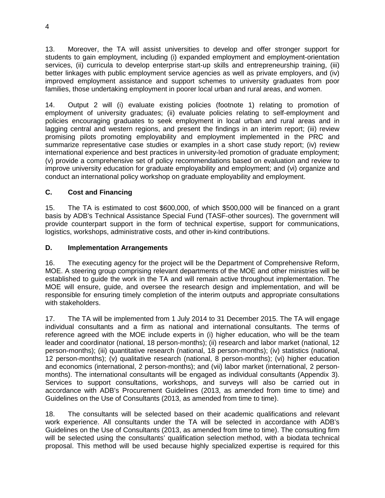13. Moreover, the TA will assist universities to develop and offer stronger support for students to gain employment, including (i) expanded employment and employment-orientation services, (ii) curricula to develop enterprise start-up skills and entrepreneurship training, (iii) better linkages with public employment service agencies as well as private employers, and (iv) improved employment assistance and support schemes to university graduates from poor families, those undertaking employment in poorer local urban and rural areas, and women.

14. Output 2 will (i) evaluate existing policies (footnote 1) relating to promotion of employment of university graduates; (ii) evaluate policies relating to self-employment and policies encouraging graduates to seek employment in local urban and rural areas and in lagging central and western regions, and present the findings in an interim report; (iii) review promising pilots promoting employability and employment implemented in the PRC and summarize representative case studies or examples in a short case study report; (iv) review international experience and best practices in university-led promotion of graduate employment; (v) provide a comprehensive set of policy recommendations based on evaluation and review to improve university education for graduate employability and employment; and (vi) organize and conduct an international policy workshop on graduate employability and employment.

# **C. Cost and Financing**

15. The TA is estimated to cost \$600,000, of which \$500,000 will be financed on a grant basis by ADB's Technical Assistance Special Fund (TASF-other sources). The government will provide counterpart support in the form of technical expertise, support for communications, logistics, workshops, administrative costs, and other in-kind contributions.

## **D. Implementation Arrangements**

16. The executing agency for the project will be the Department of Comprehensive Reform, MOE. A steering group comprising relevant departments of the MOE and other ministries will be established to guide the work in the TA and will remain active throughout implementation. The MOE will ensure, guide, and oversee the research design and implementation, and will be responsible for ensuring timely completion of the interim outputs and appropriate consultations with stakeholders.

17. The TA will be implemented from 1 July 2014 to 31 December 2015. The TA will engage individual consultants and a firm as national and international consultants. The terms of reference agreed with the MOE include experts in (i) higher education, who will be the team leader and coordinator (national, 18 person-months); (ii) research and labor market (national, 12 person-months); (iii) quantitative research (national, 18 person-months); (iv) statistics (national, 12 person-months); (v) qualitative research (national, 8 person-months); (vi) higher education and economics (international, 2 person-months); and (vii) labor market (international, 2 personmonths). The international consultants will be engaged as individual consultants (Appendix 3). Services to support consultations, workshops, and surveys will also be carried out in accordance with ADB's Procurement Guidelines (2013, as amended from time to time) and Guidelines on the Use of Consultants (2013, as amended from time to time).

18. The consultants will be selected based on their academic qualifications and relevant work experience. All consultants under the TA will be selected in accordance with ADB's Guidelines on the Use of Consultants (2013, as amended from time to time). The consulting firm will be selected using the consultants' qualification selection method, with a biodata technical proposal. This method will be used because highly specialized expertise is required for this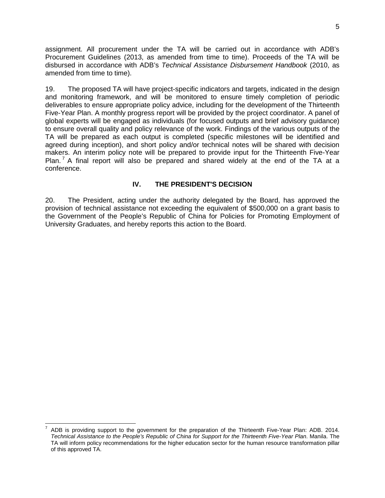assignment. All procurement under the TA will be carried out in accordance with ADB's Procurement Guidelines (2013, as amended from time to time). Proceeds of the TA will be disbursed in accordance with ADB's *Technical Assistance Disbursement Handbook* (2010, as amended from time to time).

19. The proposed TA will have project-specific indicators and targets, indicated in the design and monitoring framework, and will be monitored to ensure timely completion of periodic deliverables to ensure appropriate policy advice, including for the development of the Thirteenth Five-Year Plan. A monthly progress report will be provided by the project coordinator. A panel of global experts will be engaged as individuals (for focused outputs and brief advisory guidance) to ensure overall quality and policy relevance of the work. Findings of the various outputs of the TA will be prepared as each output is completed (specific milestones will be identified and agreed during inception), and short policy and/or technical notes will be shared with decision makers. An interim policy note will be prepared to provide input for the Thirteenth Five-Year Plan.<sup>[7](#page-8-0)</sup> A final report will also be prepared and shared widely at the end of the TA at a conference.

### **IV. THE PRESIDENT'S DECISION**

20. The President, acting under the authority delegated by the Board, has approved the provision of technical assistance not exceeding the equivalent of \$500,000 on a grant basis to the Government of the People's Republic of China for Policies for Promoting Employment of University Graduates, and hereby reports this action to the Board.

 $\overline{a}$ 

<span id="page-8-0"></span><sup>7</sup> ADB is providing support to the government for the preparation of the Thirteenth Five-Year Plan: ADB. 2014. *Technical Assistance to the People's Republic of China for Support for the Thirteenth Five-Year Plan*. Manila. The TA will inform policy recommendations for the higher education sector for the human resource transformation pillar of this approved TA.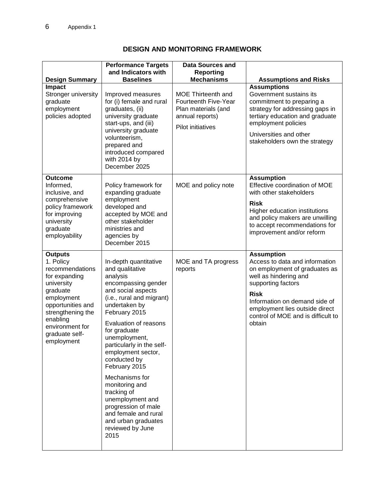|                                                                                                                                                                                                                  | <b>Performance Targets</b>                                                                                                                                                                                                                                                                                                                                                                                                                                                              | <b>Data Sources and</b>                                                                                   |                                                                                                                                                                                                                                                                       |
|------------------------------------------------------------------------------------------------------------------------------------------------------------------------------------------------------------------|-----------------------------------------------------------------------------------------------------------------------------------------------------------------------------------------------------------------------------------------------------------------------------------------------------------------------------------------------------------------------------------------------------------------------------------------------------------------------------------------|-----------------------------------------------------------------------------------------------------------|-----------------------------------------------------------------------------------------------------------------------------------------------------------------------------------------------------------------------------------------------------------------------|
|                                                                                                                                                                                                                  | and Indicators with                                                                                                                                                                                                                                                                                                                                                                                                                                                                     | <b>Reporting</b>                                                                                          |                                                                                                                                                                                                                                                                       |
| <b>Design Summary</b>                                                                                                                                                                                            | <b>Baselines</b>                                                                                                                                                                                                                                                                                                                                                                                                                                                                        | <b>Mechanisms</b>                                                                                         | <b>Assumptions and Risks</b>                                                                                                                                                                                                                                          |
| Impact<br>Stronger university<br>graduate<br>employment<br>policies adopted                                                                                                                                      | Improved measures<br>for (i) female and rural<br>graduates, (ii)<br>university graduate<br>start-ups, and (iii)<br>university graduate<br>volunteerism,<br>prepared and<br>introduced compared<br>with 2014 by<br>December 2025                                                                                                                                                                                                                                                         | MOE Thirteenth and<br>Fourteenth Five-Year<br>Plan materials (and<br>annual reports)<br>Pilot initiatives | <b>Assumptions</b><br>Government sustains its<br>commitment to preparing a<br>strategy for addressing gaps in<br>tertiary education and graduate<br>employment policies<br>Universities and other<br>stakeholders own the strategy                                    |
| <b>Outcome</b><br>Informed,<br>inclusive, and<br>comprehensive<br>policy framework<br>for improving<br>university<br>graduate<br>employability                                                                   | Policy framework for<br>expanding graduate<br>employment<br>developed and<br>accepted by MOE and<br>other stakeholder<br>ministries and<br>agencies by<br>December 2015                                                                                                                                                                                                                                                                                                                 | MOE and policy note                                                                                       | <b>Assumption</b><br>Effective coordination of MOE<br>with other stakeholders<br><b>Risk</b><br>Higher education institutions<br>and policy makers are unwilling<br>to accept recommendations for<br>improvement and/or reform                                        |
| <b>Outputs</b><br>1. Policy<br>recommendations<br>for expanding<br>university<br>graduate<br>employment<br>opportunities and<br>strengthening the<br>enabling<br>environment for<br>graduate self-<br>employment | In-depth quantitative<br>and qualitative<br>analysis<br>encompassing gender<br>and social aspects<br>(i.e., rural and migrant)<br>undertaken by<br>February 2015<br>Evaluation of reasons<br>for graduate<br>unemployment,<br>particularly in the self-<br>employment sector,<br>conducted by<br>February 2015<br>Mechanisms for<br>monitoring and<br>tracking of<br>unemployment and<br>progression of male<br>and female and rural<br>and urban graduates<br>reviewed by June<br>2015 | MOE and TA progress<br>reports                                                                            | <b>Assumption</b><br>Access to data and information<br>on employment of graduates as<br>well as hindering and<br>supporting factors<br><b>Risk</b><br>Information on demand side of<br>employment lies outside direct<br>control of MOE and is difficult to<br>obtain |

# **DESIGN AND MONITORING FRAMEWORK**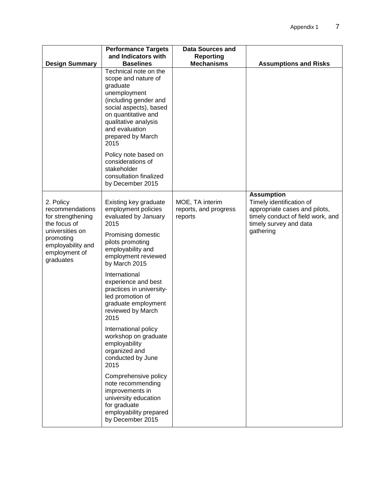|                                                                                 | <b>Performance Targets</b><br>and Indicators with                                                                                                                                                                         | <b>Data Sources and</b>                             |                                                                                                                                               |
|---------------------------------------------------------------------------------|---------------------------------------------------------------------------------------------------------------------------------------------------------------------------------------------------------------------------|-----------------------------------------------------|-----------------------------------------------------------------------------------------------------------------------------------------------|
| <b>Design Summary</b>                                                           | <b>Baselines</b>                                                                                                                                                                                                          | <b>Reporting</b><br><b>Mechanisms</b>               | <b>Assumptions and Risks</b>                                                                                                                  |
|                                                                                 | Technical note on the<br>scope and nature of<br>graduate<br>unemployment<br>(including gender and<br>social aspects), based<br>on quantitative and<br>qualitative analysis<br>and evaluation<br>prepared by March<br>2015 |                                                     |                                                                                                                                               |
|                                                                                 | Policy note based on<br>considerations of<br>stakeholder<br>consultation finalized<br>by December 2015                                                                                                                    |                                                     |                                                                                                                                               |
| 2. Policy<br>recommendations<br>for strengthening<br>the focus of               | Existing key graduate<br>employment policies<br>evaluated by January<br>2015                                                                                                                                              | MOE, TA interim<br>reports, and progress<br>reports | <b>Assumption</b><br>Timely identification of<br>appropriate cases and pilots,<br>timely conduct of field work, and<br>timely survey and data |
| universities on<br>promoting<br>employability and<br>employment of<br>graduates | Promising domestic<br>pilots promoting<br>employability and<br>employment reviewed<br>by March 2015                                                                                                                       |                                                     | gathering                                                                                                                                     |
|                                                                                 | International<br>experience and best<br>practices in university-<br>led promotion of<br>graduate employment<br>reviewed by March<br>2015                                                                                  |                                                     |                                                                                                                                               |
|                                                                                 | International policy<br>workshop on graduate<br>employability<br>organized and<br>conducted by June<br>2015                                                                                                               |                                                     |                                                                                                                                               |
|                                                                                 | Comprehensive policy<br>note recommending<br>improvements in<br>university education<br>for graduate<br>employability prepared<br>by December 2015                                                                        |                                                     |                                                                                                                                               |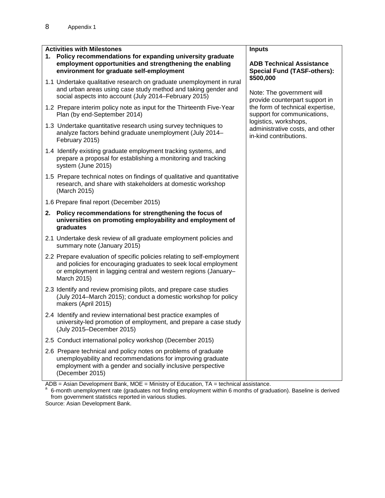| 1. | <b>Activities with Milestones</b><br>Policy recommendations for expanding university graduate<br>employment opportunities and strengthening the enabling<br>environment for graduate self-employment                        | <b>Inputs</b><br><b>ADB Technical Assistance</b><br><b>Special Fund (TASF-others):</b> |
|----|-----------------------------------------------------------------------------------------------------------------------------------------------------------------------------------------------------------------------------|----------------------------------------------------------------------------------------|
|    | 1.1 Undertake qualitative research on graduate unemployment in rural<br>and urban areas using case study method and taking gender and<br>social aspects into account (July 2014–February 2015)                              | \$500,000<br>Note: The government will<br>provide counterpart support in               |
|    | 1.2 Prepare interim policy note as input for the Thirteenth Five-Year<br>Plan (by end-September 2014)                                                                                                                       | the form of technical expertise,<br>support for communications,                        |
|    | 1.3 Undertake quantitative research using survey techniques to<br>analyze factors behind graduate unemployment (July 2014-<br>February 2015)                                                                                | logistics, workshops,<br>administrative costs, and other<br>in-kind contributions.     |
|    | 1.4 Identify existing graduate employment tracking systems, and<br>prepare a proposal for establishing a monitoring and tracking<br>system (June 2015)                                                                      |                                                                                        |
|    | 1.5 Prepare technical notes on findings of qualitative and quantitative<br>research, and share with stakeholders at domestic workshop<br>(March 2015)                                                                       |                                                                                        |
|    | 1.6 Prepare final report (December 2015)                                                                                                                                                                                    |                                                                                        |
| 2. | Policy recommendations for strengthening the focus of<br>universities on promoting employability and employment of<br>graduates                                                                                             |                                                                                        |
|    | 2.1 Undertake desk review of all graduate employment policies and<br>summary note (January 2015)                                                                                                                            |                                                                                        |
|    | 2.2 Prepare evaluation of specific policies relating to self-employment<br>and policies for encouraging graduates to seek local employment<br>or employment in lagging central and western regions (January-<br>March 2015) |                                                                                        |
|    | 2.3 Identify and review promising pilots, and prepare case studies<br>(July 2014–March 2015); conduct a domestic workshop for policy<br>makers (April 2015)                                                                 |                                                                                        |
|    | 2.4 Identify and review international best practice examples of<br>university-led promotion of employment, and prepare a case study<br>(July 2015-December 2015)                                                            |                                                                                        |
|    | 2.5 Conduct international policy workshop (December 2015)                                                                                                                                                                   |                                                                                        |
|    | 2.6 Prepare technical and policy notes on problems of graduate<br>unemployability and recommendations for improving graduate<br>employment with a gender and socially inclusive perspective<br>(December 2015)              |                                                                                        |

ADB = Asian Development Bank, MOE = Ministry of Education, TA = technical assistance.<br><sup>a</sup> 6-month unemployment rate (graduates not finding employment within 6 months of graduation). Baseline is derived from government statistics reported in various studies.

Source: Asian Development Bank.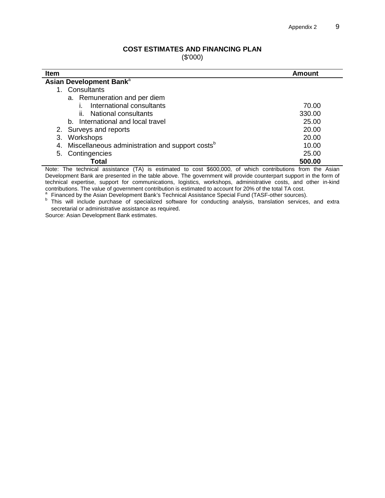#### **COST ESTIMATES AND FINANCING PLAN**

(\$'000)

| <b>Item</b>                                                       | Amount |
|-------------------------------------------------------------------|--------|
| Asian Development Bank <sup>a</sup>                               |        |
| Consultants                                                       |        |
| a. Remuneration and per diem                                      |        |
| International consultants                                         | 70.00  |
| ii. National consultants                                          | 330.00 |
| b. International and local travel                                 | 25.00  |
| 2. Surveys and reports                                            | 20.00  |
| Workshops<br>3.                                                   | 20.00  |
| Miscellaneous administration and support costs <sup>b</sup><br>4. | 10.00  |
| Contingencies<br>5.                                               | 25.00  |
| Total                                                             | 500.00 |

Note: The technical assistance (TA) is estimated to cost \$600,000, of which contributions from the Asian Development Bank are presented in the table above. The government will provide counterpart support in the form of technical expertise, support for communications, logistics, workshops, administrative costs, and other in-kind<br>contributions. The value of government contribution is estimated to account for 20% of the total TA cost.

<sup>a</sup> Financed by the Asian Development Bank's Technical Assistance Special Fund (TASF-other sources).<br><sup>b</sup> This will include purchase of specialized software for conducting analysis, translation services, and extra secretarial or administrative assistance as required.

Source: Asian Development Bank estimates.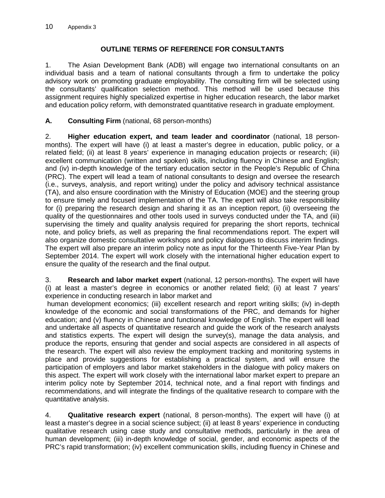## **OUTLINE TERMS OF REFERENCE FOR CONSULTANTS**

1. The Asian Development Bank (ADB) will engage two international consultants on an individual basis and a team of national consultants through a firm to undertake the policy advisory work on promoting graduate employability. The consulting firm will be selected using the consultants' qualification selection method. This method will be used because this assignment requires highly specialized expertise in higher education research, the labor market and education policy reform, with demonstrated quantitative research in graduate employment.

## **A. Consulting Firm** (national, 68 person-months)

2. **Higher education expert, and team leader and coordinator** (national, 18 personmonths). The expert will have (i) at least a master's degree in education, public policy, or a related field; (ii) at least 8 years' experience in managing education projects or research; (iii) excellent communication (written and spoken) skills, including fluency in Chinese and English; and (iv) in-depth knowledge of the tertiary education sector in the People's Republic of China (PRC). The expert will lead a team of national consultants to design and oversee the research (i.e., surveys, analysis, and report writing) under the policy and advisory technical assistance (TA), and also ensure coordination with the Ministry of Education (MOE) and the steering group to ensure timely and focused implementation of the TA. The expert will also take responsibility for (i) preparing the research design and sharing it as an inception report, (ii) overseeing the quality of the questionnaires and other tools used in surveys conducted under the TA, and (iii) supervising the timely and quality analysis required for preparing the short reports, technical note, and policy briefs, as well as preparing the final recommendations report. The expert will also organize domestic consultative workshops and policy dialogues to discuss interim findings. The expert will also prepare an interim policy note as input for the Thirteenth Five-Year Plan by September 2014. The expert will work closely with the international higher education expert to ensure the quality of the research and the final output.

3. **Research and labor market expert** (national, 12 person-months). The expert will have (i) at least a master's degree in economics or another related field; (ii) at least 7 years' experience in conducting research in labor market and

human development economics; (iii) excellent research and report writing skills; (iv) in-depth knowledge of the economic and social transformations of the PRC, and demands for higher education; and (v) fluency in Chinese and functional knowledge of English. The expert will lead and undertake all aspects of quantitative research and guide the work of the research analysts and statistics experts. The expert will design the survey(s), manage the data analysis, and produce the reports, ensuring that gender and social aspects are considered in all aspects of the research. The expert will also review the employment tracking and monitoring systems in place and provide suggestions for establishing a practical system, and will ensure the participation of employers and labor market stakeholders in the dialogue with policy makers on this aspect. The expert will work closely with the international labor market expert to prepare an interim policy note by September 2014, technical note, and a final report with findings and recommendations, and will integrate the findings of the qualitative research to compare with the quantitative analysis.

4. **Qualitative research expert** (national, 8 person-months). The expert will have (i) at least a master's degree in a social science subject; (ii) at least 8 years' experience in conducting qualitative research using case study and consultative methods, particularly in the area of human development; (iii) in-depth knowledge of social, gender, and economic aspects of the PRC's rapid transformation; (iv) excellent communication skills, including fluency in Chinese and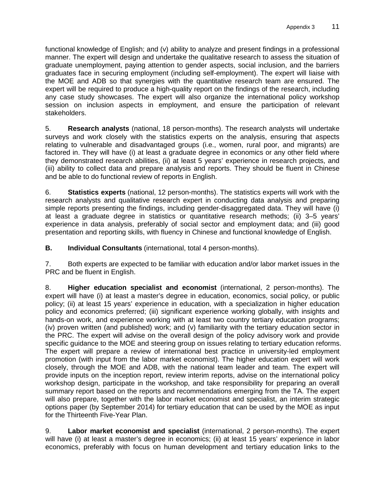functional knowledge of English; and (v) ability to analyze and present findings in a professional manner. The expert will design and undertake the qualitative research to assess the situation of graduate unemployment, paying attention to gender aspects, social inclusion, and the barriers graduates face in securing employment (including self-employment). The expert will liaise with the MOE and ADB so that synergies with the quantitative research team are ensured. The expert will be required to produce a high-quality report on the findings of the research, including any case study showcases. The expert will also organize the international policy workshop session on inclusion aspects in employment, and ensure the participation of relevant stakeholders.

5. **Research analysts** (national, 18 person-months). The research analysts will undertake surveys and work closely with the statistics experts on the analysis, ensuring that aspects relating to vulnerable and disadvantaged groups (i.e., women, rural poor, and migrants) are factored in. They will have (i) at least a graduate degree in economics or any other field where they demonstrated research abilities, (ii) at least 5 years' experience in research projects, and (iii) ability to collect data and prepare analysis and reports. They should be fluent in Chinese and be able to do functional review of reports in English.

6. **Statistics experts** (national, 12 person-months). The statistics experts will work with the research analysts and qualitative research expert in conducting data analysis and preparing simple reports presenting the findings, including gender-disaggregated data. They will have (i) at least a graduate degree in statistics or quantitative research methods; (ii) 3–5 years' experience in data analysis, preferably of social sector and employment data; and (iii) good presentation and reporting skills, with fluency in Chinese and functional knowledge of English.

**B. Individual Consultants** (international, total 4 person-months).

7. Both experts are expected to be familiar with education and/or labor market issues in the PRC and be fluent in English.

8. **Higher education specialist and economist** (international, 2 person-months). The expert will have (i) at least a master's degree in education, economics, social policy, or public policy; (ii) at least 15 years' experience in education, with a specialization in higher education policy and economics preferred; (iii) significant experience working globally, with insights and hands-on work, and experience working with at least two country tertiary education programs; (iv) proven written (and published) work; and (v) familiarity with the tertiary education sector in the PRC. The expert will advise on the overall design of the policy advisory work and provide specific guidance to the MOE and steering group on issues relating to tertiary education reforms. The expert will prepare a review of international best practice in university-led employment promotion (with input from the labor market economist). The higher education expert will work closely, through the MOE and ADB, with the national team leader and team. The expert will provide inputs on the inception report, review interim reports, advise on the international policy workshop design, participate in the workshop, and take responsibility for preparing an overall summary report based on the reports and recommendations emerging from the TA. The expert will also prepare, together with the labor market economist and specialist, an interim strategic options paper (by September 2014) for tertiary education that can be used by the MOE as input for the Thirteenth Five-Year Plan.

9. **Labor market economist and specialist** (international, 2 person-months). The expert will have (i) at least a master's degree in economics; (ii) at least 15 years' experience in labor economics, preferably with focus on human development and tertiary education links to the